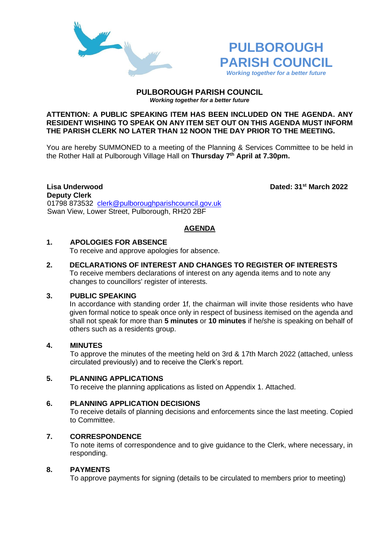



#### **PULBOROUGH PARISH COUNCIL** *Working together for a better future*

### **ATTENTION: A PUBLIC SPEAKING ITEM HAS BEEN INCLUDED ON THE AGENDA. ANY RESIDENT WISHING TO SPEAK ON ANY ITEM SET OUT ON THIS AGENDA MUST INFORM THE PARISH CLERK NO LATER THAN 12 NOON THE DAY PRIOR TO THE MEETING.**

You are hereby SUMMONED to a meeting of the Planning & Services Committee to be held in the Rother Hall at Pulborough Village Hall on **Thursday 7 th April at 7.30pm.** 

# **Deputy Clerk**

**Lisa Underwood Dated: 31st March 2022**

01798 873532 [clerk@pulboroughparishcouncil.gov.uk](mailto:clerk@pulboroughparishcouncil.gov.uk) Swan View, Lower Street, Pulborough, RH20 2BF

# **AGENDA**

## **1. APOLOGIES FOR ABSENCE**

To receive and approve apologies for absence.

**2. DECLARATIONS OF INTEREST AND CHANGES TO REGISTER OF INTERESTS** To receive members declarations of interest on any agenda items and to note any changes to councillors' register of interests.

# **3. PUBLIC SPEAKING**

In accordance with standing order 1f, the chairman will invite those residents who have given formal notice to speak once only in respect of business itemised on the agenda and shall not speak for more than **5 minutes** or **10 minutes** if he/she is speaking on behalf of others such as a residents group.

# **4. MINUTES**

To approve the minutes of the meeting held on 3rd & 17th March 2022 (attached, unless circulated previously) and to receive the Clerk's report.

## **5. PLANNING APPLICATIONS**

To receive the planning applications as listed on Appendix 1. Attached.

## **6. PLANNING APPLICATION DECISIONS**

To receive details of planning decisions and enforcements since the last meeting. Copied to Committee.

## **7. CORRESPONDENCE**

To note items of correspondence and to give guidance to the Clerk, where necessary, in responding.

## **8. PAYMENTS**

To approve payments for signing (details to be circulated to members prior to meeting)